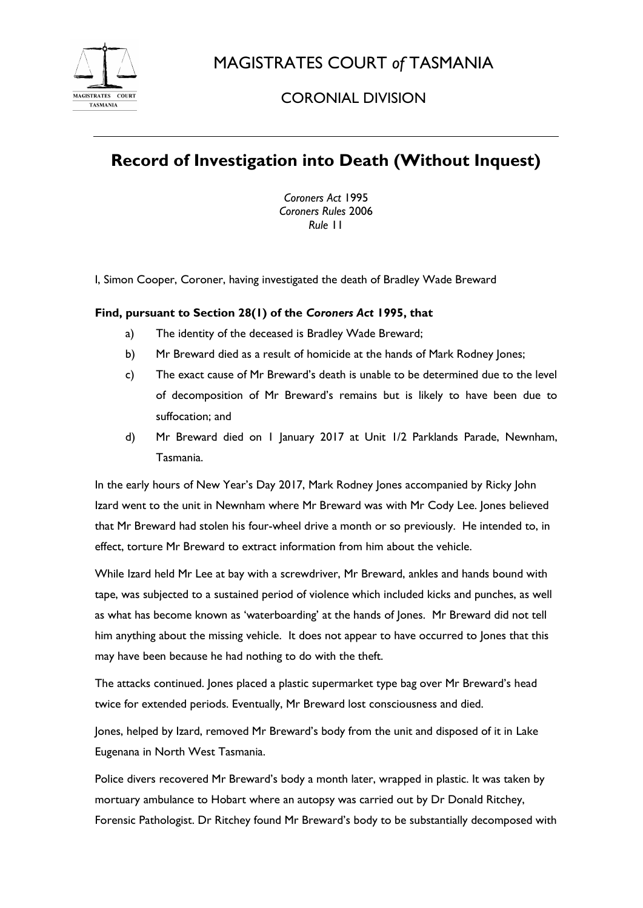

MAGISTRATES COURT *of* TASMANIA

## CORONIAL DIVISION

## **Record of Investigation into Death (Without Inquest)**

*Coroners Act* 1995 *Coroners Rules* 2006 *Rule* 11

I, Simon Cooper, Coroner, having investigated the death of Bradley Wade Breward

## **Find, pursuant to Section 28(1) of the** *Coroners Act* **1995, that**

- a) The identity of the deceased is Bradley Wade Breward;
- b) Mr Breward died as a result of homicide at the hands of Mark Rodney Jones;
- c) The exact cause of Mr Breward's death is unable to be determined due to the level of decomposition of Mr Breward's remains but is likely to have been due to suffocation; and
- d) Mr Breward died on 1 January 2017 at Unit 1/2 Parklands Parade, Newnham, Tasmania.

In the early hours of New Year's Day 2017, Mark Rodney Jones accompanied by Ricky John Izard went to the unit in Newnham where Mr Breward was with Mr Cody Lee. Jones believed that Mr Breward had stolen his four-wheel drive a month or so previously. He intended to, in effect, torture Mr Breward to extract information from him about the vehicle.

While Izard held Mr Lee at bay with a screwdriver, Mr Breward, ankles and hands bound with tape, was subjected to a sustained period of violence which included kicks and punches, as well as what has become known as 'waterboarding' at the hands of Jones. Mr Breward did not tell him anything about the missing vehicle. It does not appear to have occurred to Jones that this may have been because he had nothing to do with the theft.

The attacks continued. Jones placed a plastic supermarket type bag over Mr Breward's head twice for extended periods. Eventually, Mr Breward lost consciousness and died.

Jones, helped by Izard, removed Mr Breward's body from the unit and disposed of it in Lake Eugenana in North West Tasmania.

Police divers recovered Mr Breward's body a month later, wrapped in plastic. It was taken by mortuary ambulance to Hobart where an autopsy was carried out by Dr Donald Ritchey, Forensic Pathologist. Dr Ritchey found Mr Breward's body to be substantially decomposed with